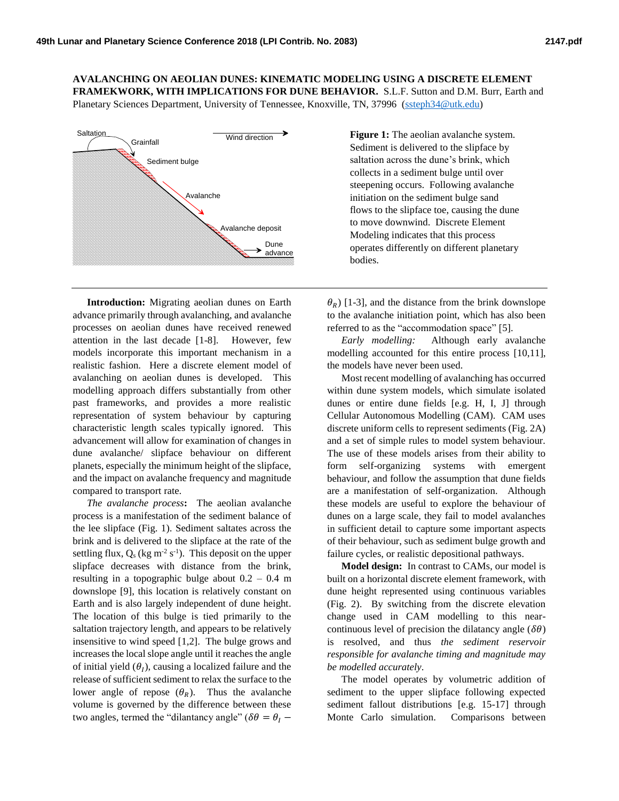**AVALANCHING ON AEOLIAN DUNES: KINEMATIC MODELING USING A DISCRETE ELEMENT FRAMEKWORK, WITH IMPLICATIONS FOR DUNE BEHAVIOR.** S.L.F. Sutton and D.M. Burr, Earth and

Planetary Sciences Department, University of Tennessee, Knoxville, TN, 37996 [\(ssteph34@utk.edu\)](mailto:ssteph34@utk.edu)



**Introduction:** Migrating aeolian dunes on Earth advance primarily through avalanching, and avalanche processes on aeolian dunes have received renewed attention in the last decade [1-8].However, few models incorporate this important mechanism in a realistic fashion. Here a discrete element model of avalanching on aeolian dunes is developed. This modelling approach differs substantially from other past frameworks, and provides a more realistic representation of system behaviour by capturing characteristic length scales typically ignored. This advancement will allow for examination of changes in dune avalanche/ slipface behaviour on different planets, especially the minimum height of the slipface, and the impact on avalanche frequency and magnitude compared to transport rate.

*The avalanche process***:** The aeolian avalanche process is a manifestation of the sediment balance of the lee slipface (Fig. 1). Sediment saltates across the brink and is delivered to the slipface at the rate of the settling flux,  $Q_s$  (kg m<sup>-2</sup> s<sup>-1</sup>). This deposit on the upper slipface decreases with distance from the brink, resulting in a topographic bulge about  $0.2 - 0.4$  m downslope [9], this location is relatively constant on Earth and is also largely independent of dune height. The location of this bulge is tied primarily to the saltation trajectory length, and appears to be relatively insensitive to wind speed [1,2]. The bulge grows and increases the local slope angle until it reaches the angle of initial yield  $(\theta_I)$ , causing a localized failure and the release of sufficient sediment to relax the surface to the lower angle of repose  $(\theta_R)$ . Thus the avalanche volume is governed by the difference between these two angles, termed the "dilantancy angle" ( $\delta\theta = \theta_I$  –

Wind direction  $\rightarrow$  **Figure 1:** The aeolian avalanche system. Sediment is delivered to the slipface by saltation across the dune's brink, which collects in a sediment bulge until over steepening occurs. Following avalanche initiation on the sediment bulge sand flows to the slipface toe, causing the dune to move downwind. Discrete Element Modeling indicates that this process operates differently on different planetary bodies.

> $(\theta_R)$  [1-3], and the distance from the brink downslope to the avalanche initiation point, which has also been referred to as the "accommodation space" [5].

> *Early modelling:* Although early avalanche modelling accounted for this entire process [10,11], the models have never been used.

> Most recent modelling of avalanching has occurred within dune system models, which simulate isolated dunes or entire dune fields [e.g. H, I, J] through Cellular Autonomous Modelling (CAM). CAM uses discrete uniform cells to represent sediments (Fig. 2A) and a set of simple rules to model system behaviour. The use of these models arises from their ability to form self-organizing systems with emergent behaviour, and follow the assumption that dune fields are a manifestation of self-organization. Although these models are useful to explore the behaviour of dunes on a large scale, they fail to model avalanches in sufficient detail to capture some important aspects of their behaviour, such as sediment bulge growth and failure cycles, or realistic depositional pathways.

> **Model design:** In contrast to CAMs, our model is built on a horizontal discrete element framework, with dune height represented using continuous variables (Fig. 2). By switching from the discrete elevation change used in CAM modelling to this nearcontinuous level of precision the dilatancy angle ( $\delta\theta$ ) is resolved, and thus *the sediment reservoir responsible for avalanche timing and magnitude may be modelled accurately*.

> The model operates by volumetric addition of sediment to the upper slipface following expected sediment fallout distributions [e.g. 15-17] through Monte Carlo simulation. Comparisons between